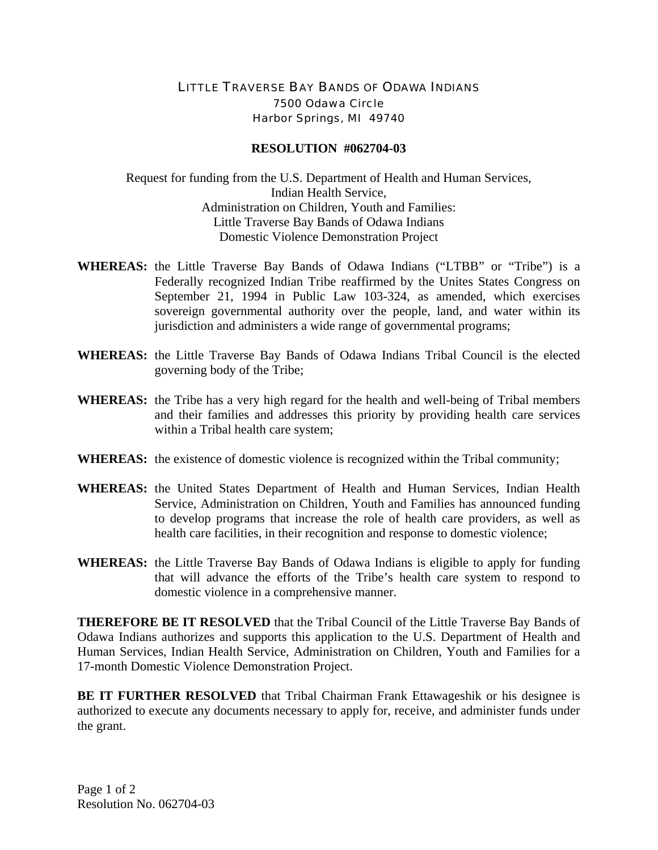## LITTLE TRAVERSE BAY BANDS OF ODAWA INDIANS 7500 Odawa Circle Harbor Springs, MI 49740

## **RESOLUTION #062704-03**

Request for funding from the U.S. Department of Health and Human Services, Indian Health Service, Administration on Children, Youth and Families: Little Traverse Bay Bands of Odawa Indians Domestic Violence Demonstration Project

- **WHEREAS:** the Little Traverse Bay Bands of Odawa Indians ("LTBB" or "Tribe") is a Federally recognized Indian Tribe reaffirmed by the Unites States Congress on September 21, 1994 in Public Law 103-324, as amended, which exercises sovereign governmental authority over the people, land, and water within its jurisdiction and administers a wide range of governmental programs;
- **WHEREAS:** the Little Traverse Bay Bands of Odawa Indians Tribal Council is the elected governing body of the Tribe;
- **WHEREAS:** the Tribe has a very high regard for the health and well-being of Tribal members and their families and addresses this priority by providing health care services within a Tribal health care system;
- **WHEREAS:** the existence of domestic violence is recognized within the Tribal community;
- **WHEREAS:** the United States Department of Health and Human Services, Indian Health Service, Administration on Children, Youth and Families has announced funding to develop programs that increase the role of health care providers, as well as health care facilities, in their recognition and response to domestic violence;
- **WHEREAS:** the Little Traverse Bay Bands of Odawa Indians is eligible to apply for funding that will advance the efforts of the Tribe's health care system to respond to domestic violence in a comprehensive manner.

**THEREFORE BE IT RESOLVED** that the Tribal Council of the Little Traverse Bay Bands of Odawa Indians authorizes and supports this application to the U.S. Department of Health and Human Services, Indian Health Service, Administration on Children, Youth and Families for a 17-month Domestic Violence Demonstration Project.

**BE IT FURTHER RESOLVED** that Tribal Chairman Frank Ettawageshik or his designee is authorized to execute any documents necessary to apply for, receive, and administer funds under the grant.